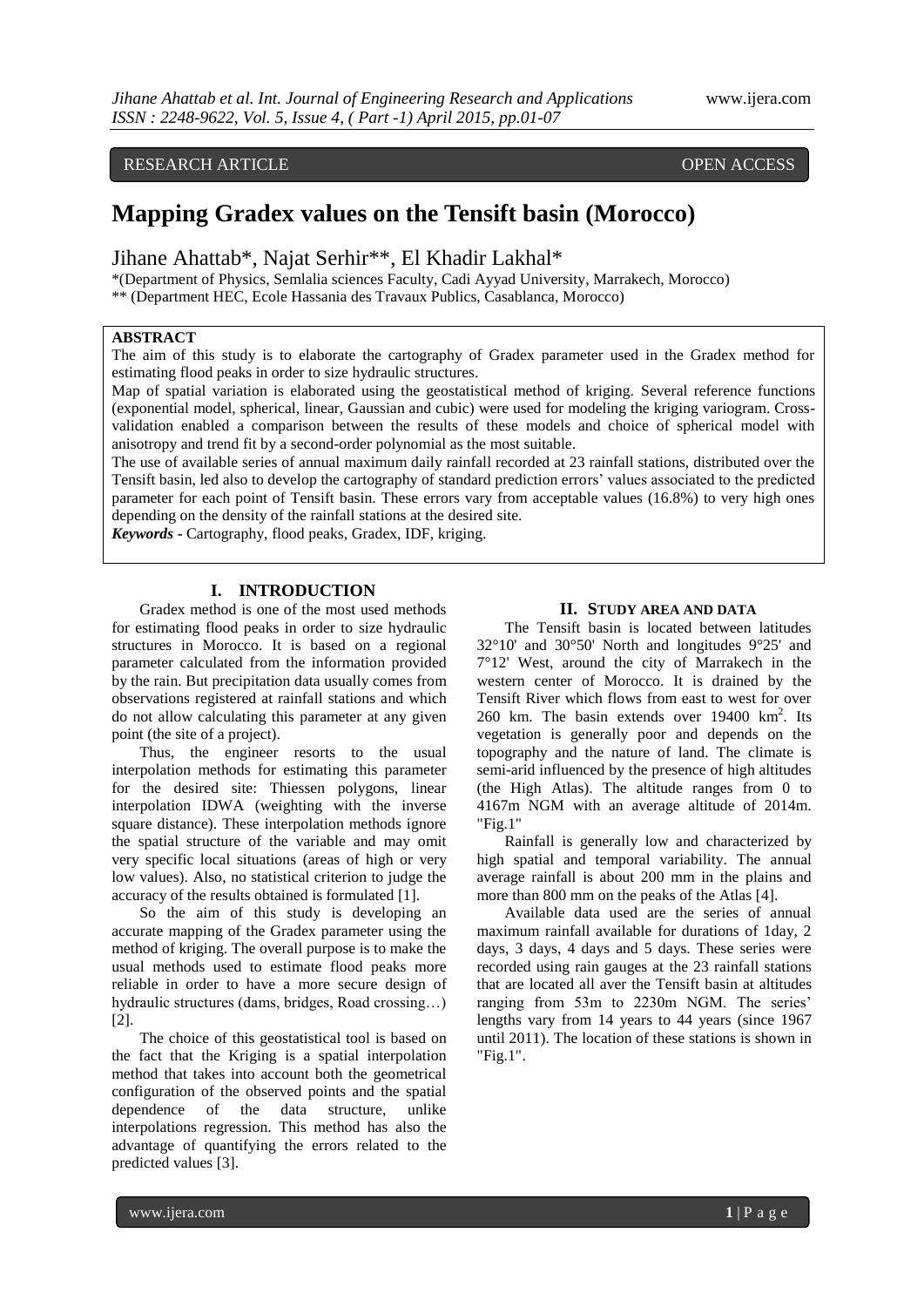# RESEARCH ARTICLE OPEN ACCESS

# **Mapping Gradex values on the Tensift basin (Morocco)**

Jihane Ahattab\*, Najat Serhir\*\*, El Khadir Lakhal\*

\*(Department of Physics, Semlalia sciences Faculty, Cadi Ayyad University, Marrakech, Morocco) \*\* (Department HEC, Ecole Hassania des Travaux Publics, Casablanca, Morocco)

# **ABSTRACT**

The aim of this study is to elaborate the cartography of Gradex parameter used in the Gradex method for estimating flood peaks in order to size hydraulic structures.

Map of spatial variation is elaborated using the geostatistical method of kriging. Several reference functions (exponential model, spherical, linear, Gaussian and cubic) were used for modeling the kriging variogram. Crossvalidation enabled a comparison between the results of these models and choice of spherical model with anisotropy and trend fit by a second-order polynomial as the most suitable.

The use of available series of annual maximum daily rainfall recorded at 23 rainfall stations, distributed over the Tensift basin, led also to develop the cartography of standard prediction errors" values associated to the predicted parameter for each point of Tensift basin. These errors vary from acceptable values (16.8%) to very high ones depending on the density of the rainfall stations at the desired site.

*Keywords* **-** Cartography, flood peaks, Gradex, IDF, kriging.

#### **I. INTRODUCTION**

Gradex method is one of the most used methods for estimating flood peaks in order to size hydraulic structures in Morocco. It is based on a regional parameter calculated from the information provided by the rain. But precipitation data usually comes from observations registered at rainfall stations and which do not allow calculating this parameter at any given point (the site of a project).

Thus, the engineer resorts to the usual interpolation methods for estimating this parameter for the desired site: Thiessen polygons, linear interpolation IDWA (weighting with the inverse square distance). These interpolation methods ignore the spatial structure of the variable and may omit very specific local situations (areas of high or very low values). Also, no statistical criterion to judge the accuracy of the results obtained is formulated [1].

So the aim of this study is developing an accurate mapping of the Gradex parameter using the method of kriging. The overall purpose is to make the usual methods used to estimate flood peaks more reliable in order to have a more secure design of hydraulic structures (dams, bridges, Road crossing…) [2].

The choice of this geostatistical tool is based on the fact that the Kriging is a spatial interpolation method that takes into account both the geometrical configuration of the observed points and the spatial dependence of the data structure, unlike interpolations regression. This method has also the advantage of quantifying the errors related to the predicted values [3].

#### **II. STUDY AREA AND DATA**

The Tensift basin is located between latitudes 32°10' and 30°50' North and longitudes 9°25' and 7°12' West, around the city of Marrakech in the western center of Morocco. It is drained by the Tensift River which flows from east to west for over 260 km. The basin extends over  $19400 \text{ km}^2$ . Its vegetation is generally poor and depends on the topography and the nature of land. The climate is semi-arid influenced by the presence of high altitudes (the High Atlas). The altitude ranges from 0 to 4167m NGM with an average altitude of 2014m. "Fig.1"

Rainfall is generally low and characterized by high spatial and temporal variability. The annual average rainfall is about 200 mm in the plains and more than 800 mm on the peaks of the Atlas [4].

Available data used are the series of annual maximum rainfall available for durations of 1day, 2 days, 3 days, 4 days and 5 days. These series were recorded using rain gauges at the 23 rainfall stations that are located all aver the Tensift basin at altitudes ranging from 53m to 2230m NGM. The series' lengths vary from 14 years to 44 years (since 1967 until 2011). The location of these stations is shown in "Fig.1".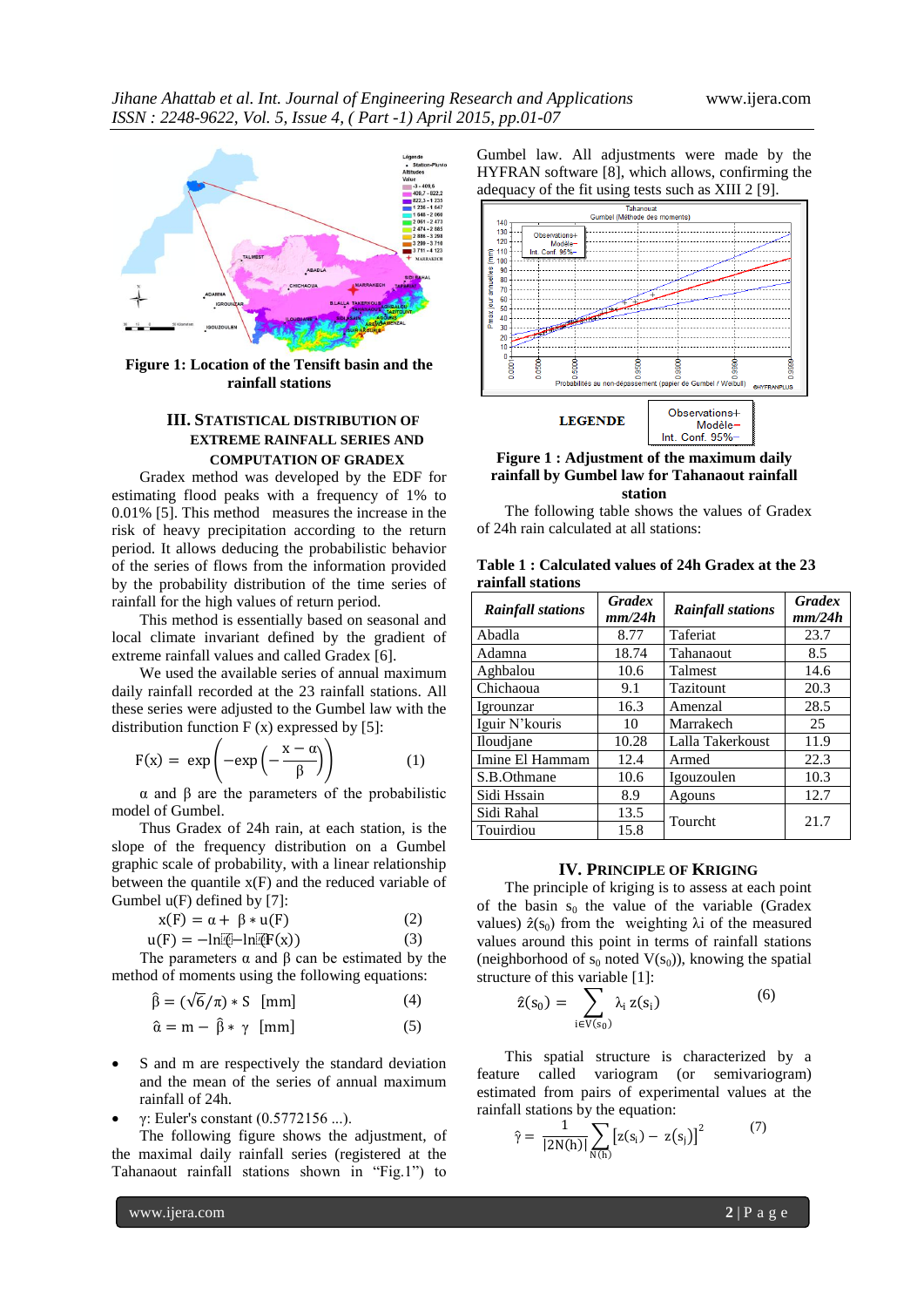

**Figure 1: Location of the Tensift basin and the rainfall stations**

# **III. STATISTICAL DISTRIBUTION OF EXTREME RAINFALL SERIES AND COMPUTATION OF GRADEX**

Gradex method was developed by the EDF for estimating flood peaks with a frequency of 1% to 0.01% [5]. This method measures the increase in the risk of heavy precipitation according to the return period. It allows deducing the probabilistic behavior of the series of flows from the information provided by the probability distribution of the time series of rainfall for the high values of return period.

This method is essentially based on seasonal and local climate invariant defined by the gradient of extreme rainfall values and called Gradex [6].

We used the available series of annual maximum daily rainfall recorded at the 23 rainfall stations. All these series were adjusted to the Gumbel law with the distribution function  $F(x)$  expressed by [5]:

$$
F(x) = \exp\left(-\exp\left(-\frac{x-\alpha}{\beta}\right)\right) \tag{1}
$$

α and β are the parameters of the probabilistic model of Gumbel.

Thus Gradex of 24h rain, at each station, is the slope of the frequency distribution on a Gumbel graphic scale of probability, with a linear relationship between the quantile  $x(F)$  and the reduced variable of Gumbel u(F) defined by [7]:

$$
x(F) = \alpha + \beta * u(F)
$$
(2)  
 
$$
u(F) = -\ln[\Phi - \ln[\Phi(x)])
$$
(3)

The parameters 
$$
\alpha
$$
 and  $\beta$  can be estimated by the

method of moments using the following equations:

$$
\hat{\beta} = (\sqrt{6}/\pi) * S \text{ [mm]}
$$
 (4)

$$
\hat{\alpha} = m - \hat{\beta} * \gamma \quad [mm] \tag{5}
$$

 S and m are respectively the standard deviation and the mean of the series of annual maximum rainfall of 24h.

γ: Euler's constant (0.5772156 ...).

The following figure shows the adjustment, of the maximal daily rainfall series (registered at the Tahanaout rainfall stations shown in "Fig.1") to

Gumbel law. All adjustments were made by the HYFRAN software [8], which allows, confirming the adequacy of the fit using tests such as XIII 2 [9].



#### **Figure 1 : Adjustment of the maximum daily rainfall by Gumbel law for Tahanaout rainfall station**

The following table shows the values of Gradex of 24h rain calculated at all stations:

| Table 1: Calculated values of 24h Gradex at the 23 |  |  |  |
|----------------------------------------------------|--|--|--|
| rainfall stations                                  |  |  |  |

| <b>Rainfall stations</b> | <b>Gradex</b><br>mm/24h | <b>Rainfall stations</b> | <b>Gradex</b><br>mm/24h |  |
|--------------------------|-------------------------|--------------------------|-------------------------|--|
| Abadla                   | 8.77                    | Taferiat                 | 23.7                    |  |
| Adamna                   | 18.74                   | Tahanaout                | 8.5                     |  |
| Aghbalou                 | 10.6                    | <b>Talmest</b>           | 14.6                    |  |
| Chichaoua                | 9.1                     | Tazitount                | 20.3                    |  |
| Igrounzar                | 16.3                    | Amenzal                  | 28.5                    |  |
| Iguir N'kouris           | 10                      | Marrakech                | 25                      |  |
| Iloudjane                | 10.28                   | Lalla Takerkoust         | 11.9                    |  |
| Imine El Hammam          | 12.4                    | Armed                    | 22.3                    |  |
| S.B.Othmane              | 10.6                    | Igouzoulen               | 10.3                    |  |
| Sidi Hssain              | 8.9                     | Agouns                   | 12.7                    |  |
| Sidi Rahal               | 13.5                    |                          | 21.7                    |  |
| Touirdiou                | 15.8                    | Tourcht                  |                         |  |

#### **IV. PRINCIPLE OF KRIGING**

The principle of kriging is to assess at each point of the basin  $s_0$  the value of the variable (Gradex values)  $\hat{z}(s_0)$  from the weighting  $\lambda$ i of the measured values around this point in terms of rainfall stations (neighborhood of  $s_0$  noted  $V(s_0)$ ), knowing the spatial structure of this variable [1]:

$$
\hat{z}(s_0) = \sum_{i \in V(s_0)} \lambda_i z(s_i) \tag{6}
$$

This spatial structure is characterized by a feature called variogram (or semivariogram) estimated from pairs of experimental values at the rainfall stations by the equation:

$$
\hat{\gamma} = \frac{1}{|2N(h)|} \sum_{N(h)} [z(s_i) - z(s_j)]^2 \tag{7}
$$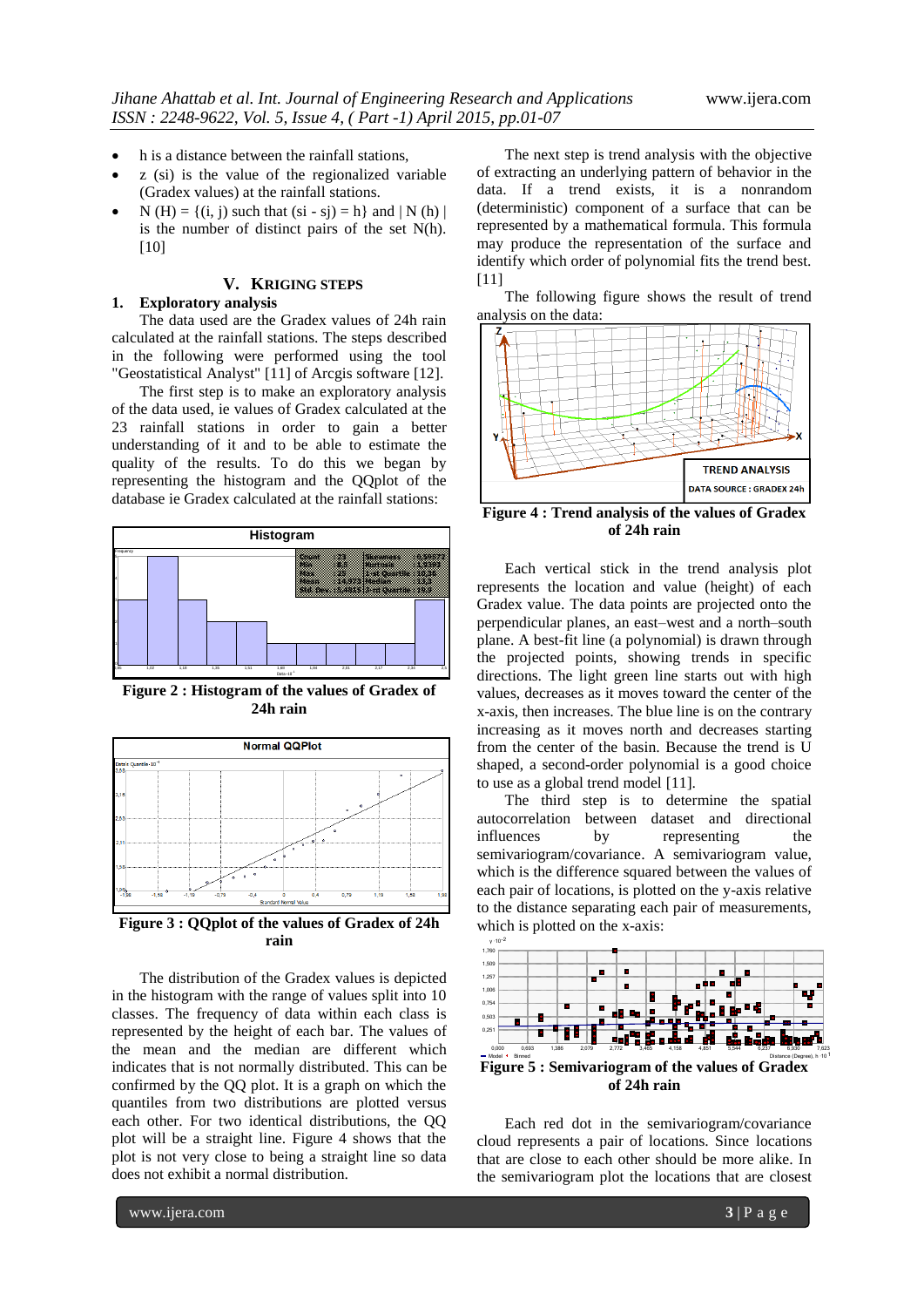- h is a distance between the rainfall stations,
- z (si) is the value of the regionalized variable (Gradex values) at the rainfall stations.
- $N(H) = \{(i, j) \text{ such that } (si sj) = h\}$  and  $|N(h)|$ is the number of distinct pairs of the set N(h). [10]

# **V. KRIGING STEPS**

#### **1. Exploratory analysis**

The data used are the Gradex values of 24h rain calculated at the rainfall stations. The steps described in the following were performed using the tool "Geostatistical Analyst" [11] of Arcgis software [12].

The first step is to make an exploratory analysis of the data used, ie values of Gradex calculated at the 23 rainfall stations in order to gain a better understanding of it and to be able to estimate the quality of the results. To do this we began by representing the histogram and the QQplot of the database ie Gradex calculated at the rainfall stations:



**Figure 2: Histogram of the values of Gradex of 24h rain**



**Figure 3 : QQplot of the values of Gradex of 24h rain**

The distribution of the Gradex values is depicted in the histogram with the range of values split into 10 classes. The frequency of data within each class is represented by the height of each bar. The values of the mean and the median are different which indicates that is not normally distributed. This can be confirmed by the QQ plot. It is a graph on which the quantiles from two distributions are plotted versus each other. For two identical distributions, the QQ plot will be a straight line. Figure 4 shows that the plot is not very close to being a straight line so data does not exhibit a normal distribution.

The next step is trend analysis with the objective of extracting an underlying pattern of behavior in the data. If a trend exists, it is a nonrandom (deterministic) component of a surface that can be represented by a mathematical formula. This formula may produce the representation of the surface and identify which order of polynomial fits the trend best. [11]

The following figure shows the result of trend analysis on the data:



**Figure 4 : Trend analysis of the values of Gradex of 24h rain**

Each vertical stick in the trend analysis plot represents the location and value (height) of each Gradex value. The data points are projected onto the perpendicular planes, an east–west and a north–south plane. A best-fit line (a polynomial) is drawn through the projected points, showing trends in specific directions. The light green line starts out with high values, decreases as it moves toward the center of the x-axis, then increases. The blue line is on the contrary increasing as it moves north and decreases starting from the center of the basin. Because the trend is U shaped, a second-order polynomial is a good choice to use as a global trend model [11].

The third step is to determine the spatial autocorrelation between dataset and directional influences by representing the semivariogram/covariance. A semivariogram value, which is the difference squared between the values of each pair of locations, is plotted on the y-axis relative to the distance separating each pair of measurements, which is plotted on the x-axis:



**of 24h rain**

Each red dot in the semivariogram/covariance cloud represents a pair of locations. Since locations that are close to each other should be more alike. In the semivariogram plot the locations that are closest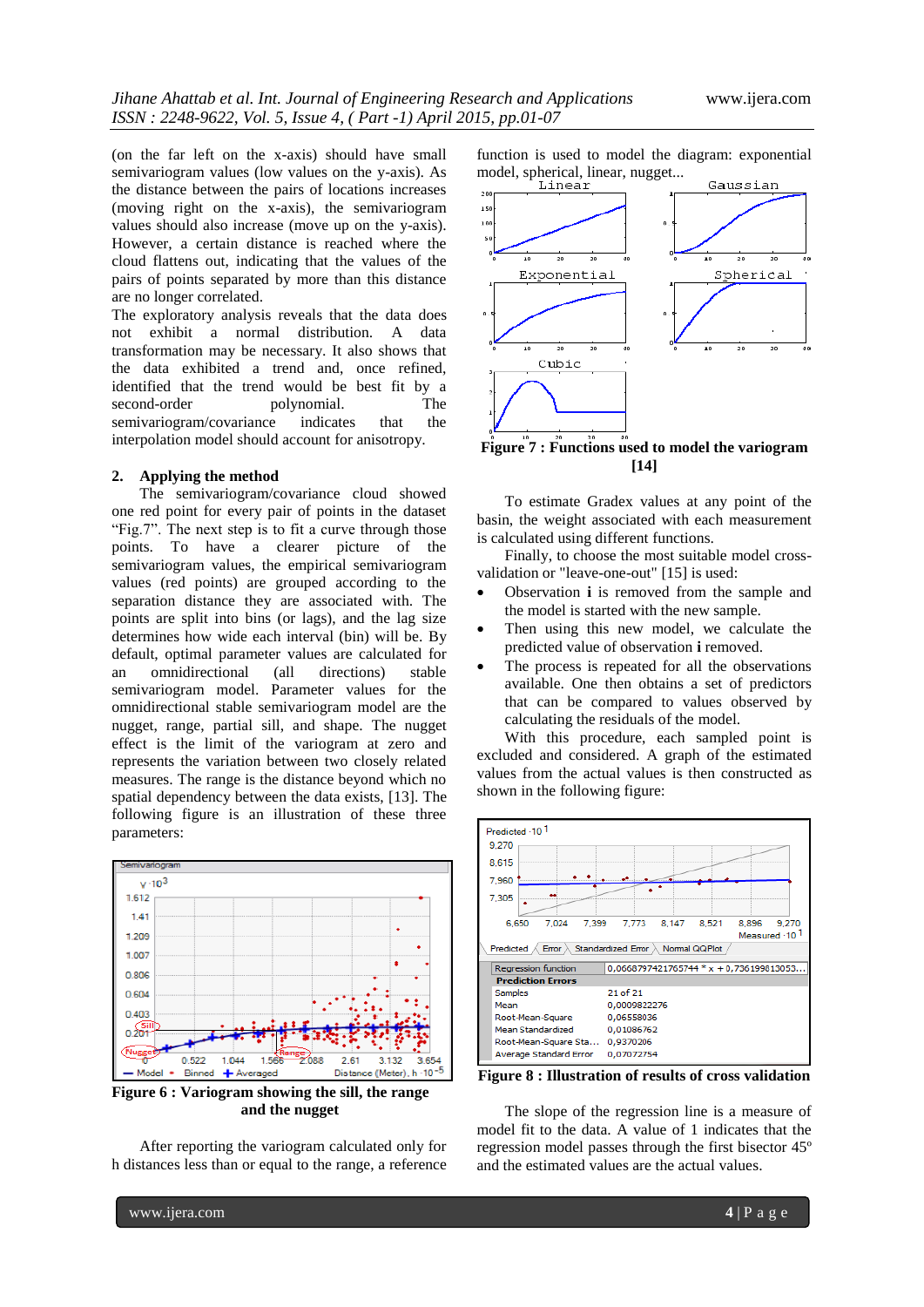(on the far left on the x-axis) should have small semivariogram values (low values on the y-axis). As the distance between the pairs of locations increases (moving right on the x-axis), the semivariogram values should also increase (move up on the y-axis). However, a certain distance is reached where the cloud flattens out, indicating that the values of the pairs of points separated by more than this distance are no longer correlated.

The exploratory analysis reveals that the data does not exhibit a normal distribution. A data transformation may be necessary. It also shows that the data exhibited a trend and, once refined, identified that the trend would be best fit by a second-order polynomial. The semivariogram/covariance indicates that the interpolation model should account for anisotropy.

#### **2. Applying the method**

The semivariogram/covariance cloud showed one red point for every pair of points in the dataset "Fig.7". The next step is to fit a curve through those points. To have a clearer picture of the semivariogram values, the empirical semivariogram values (red points) are grouped according to the separation distance they are associated with. The points are split into bins (or lags), and the lag size determines how wide each interval (bin) will be. By default, optimal parameter values are calculated for an omnidirectional (all directions) stable semivariogram model. Parameter values for the omnidirectional stable semivariogram model are the nugget, range, partial sill, and shape. The nugget effect is the limit of the variogram at zero and represents the variation between two closely related measures. The range is the distance beyond which no spatial dependency between the data exists, [13]. The following figure is an illustration of these three parameters:



**Figure 6 : Variogram showing the sill, the range and the nugget**

After reporting the variogram calculated only for h distances less than or equal to the range, a reference

function is used to model the diagram: exponential model, spherical, linear, nugget...



**Figure 7 : Functions used to model the variogram [14]**

To estimate Gradex values at any point of the basin, the weight associated with each measurement is calculated using different functions.

Finally, to choose the most suitable model crossvalidation or "leave-one-out" [15] is used:

- Observation **i** is removed from the sample and the model is started with the new sample.
- Then using this new model, we calculate the predicted value of observation **i** removed.
- The process is repeated for all the observations available. One then obtains a set of predictors that can be compared to values observed by calculating the residuals of the model.

With this procedure, each sampled point is excluded and considered. A graph of the estimated values from the actual values is then constructed as shown in the following figure:



**Figure 8 : Illustration of results of cross validation**

The slope of the regression line is a measure of model fit to the data. A value of 1 indicates that the regression model passes through the first bisector 45º and the estimated values are the actual values.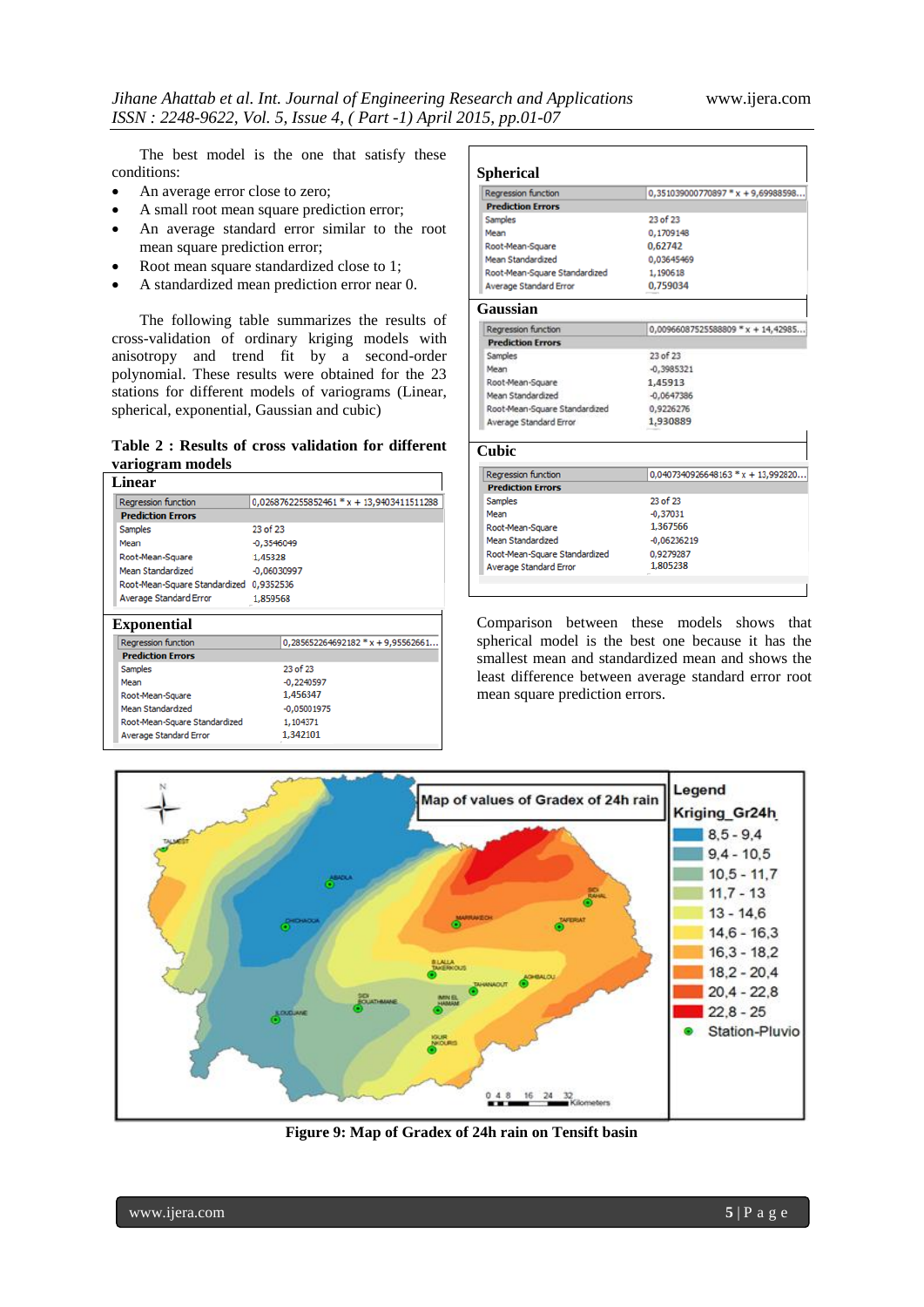The best model is the one that satisfy these conditions:

- An average error close to zero;
- A small root mean square prediction error;
- An average standard error similar to the root mean square prediction error;
- Root mean square standardized close to 1;
- A standardized mean prediction error near 0.

The following table summarizes the results of cross-validation of ordinary kriging models with anisotropy and trend fit by a second-order polynomial. These results were obtained for the 23 stations for different models of variograms (Linear, spherical, exponential, Gaussian and cubic)

## **Table 2 : Results of cross validation for different variogram models**

| <b>Regression function</b>              | 0,0268762255852461 * x + 13,9403411511288 |  |
|-----------------------------------------|-------------------------------------------|--|
| <b>Prediction Errors</b>                |                                           |  |
| <b>Samples</b>                          | 23 of 23                                  |  |
| Mean                                    | $-0.3546049$                              |  |
| Root-Mean-Square                        | 1.45328                                   |  |
| Mean Standardized                       | $-0.06030997$                             |  |
| Root-Mean-Square Standardized 0,9352536 |                                           |  |
|                                         | 1.859568                                  |  |
| Average Standard Error                  |                                           |  |
| <b>Regression function</b>              | $0,285652264692182 * x + 9,95562661$      |  |
| <b>Prediction Errors</b>                |                                           |  |
| <b>Samples</b>                          | 23 of 23                                  |  |
| Mean                                    | $-0,2240597$                              |  |
| Root-Mean-Square                        | 1,456347                                  |  |
| <b>Exponential</b><br>Mean Standardized | $-0,05001975$                             |  |

| <b>Spherical</b>              |                                      |
|-------------------------------|--------------------------------------|
| <b>Regression function</b>    | $0,351039000770897$ * x + 9,69988598 |
| <b>Prediction Errors</b>      |                                      |
| Samples                       | 23 of 23                             |
| Mean                          | 0,1709148                            |
| Root-Mean-Square              | 0.62742                              |
| Mean Standardized             | 0.03645469                           |
| Root-Mean-Square Standardized | 1,190618                             |
| Average Standard Error        | 0.759034                             |
| Gaussian                      |                                      |
| Regression function           | $0,00966087525588809$ * x + 14,42985 |
| <b>Prediction Errors</b>      |                                      |
| Samples                       | 23 of 23                             |
| Mean                          | $-0,3985321$                         |
| Root-Mean-Square              | 1.45913                              |
| Mean Standardized             | $-0.0647386$                         |
| Root-Mean-Square Standardized | 0,9226276                            |
| Average Standard Error        | 1,930889                             |
| <b>Cubic</b>                  |                                      |
| <b>Regression function</b>    | $0,0407340926648163 * x + 13,992820$ |
| <b>Prediction Errors</b>      |                                      |
| Samples                       | 23 of 23                             |
| Mean                          | $-0.37031$                           |
| Root-Mean-Square              | 1,367566                             |
| Mean Standardized             | $-0,06236219$                        |
| Root-Mean-Square Standardized | 0.9279287                            |
| <b>Average Standard Error</b> | 1.805238                             |

Comparison between these models shows that spherical model is the best one because it has the smallest mean and standardized mean and shows the least difference between average standard error root mean square prediction errors.



**Figure 9: Map of Gradex of 24h rain on Tensift basin**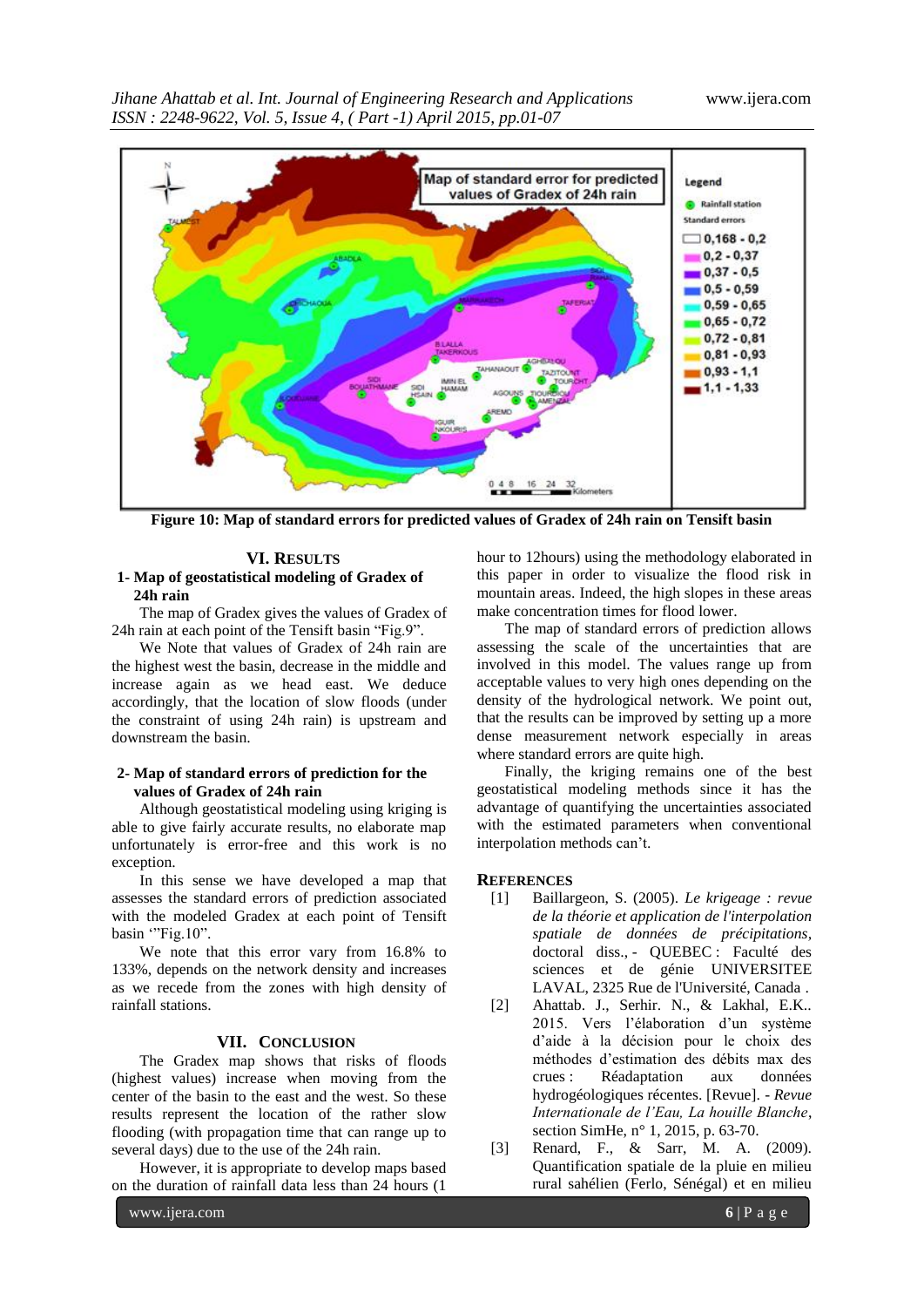*Jihane Ahattab et al. Int. Journal of Engineering Research and Applications* www.ijera.com *ISSN : 2248-9622, Vol. 5, Issue 4, ( Part -1) April 2015, pp.01-07*



**Figure 10: Map of standard errors for predicted values of Gradex of 24h rain on Tensift basin**

#### **VI. RESULTS**

#### **1- Map of geostatistical modeling of Gradex of 24h rain**

The map of Gradex gives the values of Gradex of 24h rain at each point of the Tensift basin "Fig.9".

We Note that values of Gradex of 24h rain are the highest west the basin, decrease in the middle and increase again as we head east. We deduce accordingly, that the location of slow floods (under the constraint of using 24h rain) is upstream and downstream the basin.

## **2- Map of standard errors of prediction for the values of Gradex of 24h rain**

Although geostatistical modeling using kriging is able to give fairly accurate results, no elaborate map unfortunately is error-free and this work is no exception.

In this sense we have developed a map that assesses the standard errors of prediction associated with the modeled Gradex at each point of Tensift basin "Fig.10".

We note that this error vary from 16.8% to 133%, depends on the network density and increases as we recede from the zones with high density of rainfall stations.

### **VII. CONCLUSION**

The Gradex map shows that risks of floods (highest values) increase when moving from the center of the basin to the east and the west. So these results represent the location of the rather slow flooding (with propagation time that can range up to several days) due to the use of the 24h rain.

However, it is appropriate to develop maps based on the duration of rainfall data less than 24 hours (1

hour to 12hours) using the methodology elaborated in this paper in order to visualize the flood risk in mountain areas. Indeed, the high slopes in these areas make concentration times for flood lower.

The map of standard errors of prediction allows assessing the scale of the uncertainties that are involved in this model. The values range up from acceptable values to very high ones depending on the density of the hydrological network. We point out, that the results can be improved by setting up a more dense measurement network especially in areas where standard errors are quite high.

Finally, the kriging remains one of the best geostatistical modeling methods since it has the advantage of quantifying the uncertainties associated with the estimated parameters when conventional interpolation methods can"t.

# **REFERENCES**

- [1] Baillargeon, S. (2005). *Le krigeage : revue de la théorie et application de l'interpolation spatiale de données de précipitations,* doctoral diss., - QUEBEC : Faculté des sciences et de génie UNIVERSITEE LAVAL, 2325 Rue de l'Université, Canada .
- [2] Ahattab. J., Serhir. N., & Lakhal, E.K.. 2015. Vers l"élaboration d"un système d"aide à la décision pour le choix des méthodes d"estimation des débits max des crues : Réadaptation aux données hydrogéologiques récentes. [Revue]. - *Revue Internationale de l'Eau, La houille Blanche*, section SimHe, n° 1, 2015, p. 63-70.
- [3] Renard, F., & Sarr, M. A. (2009). Quantification spatiale de la pluie en milieu rural sahélien (Ferlo, Sénégal) et en milieu

www.ijera.com **6** | P a g e